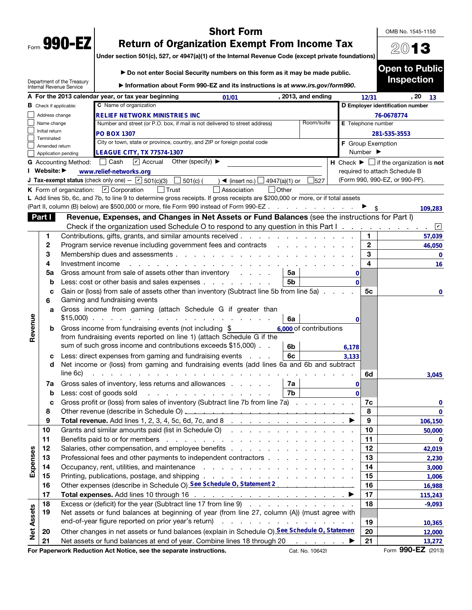| Form | 990- |  |
|------|------|--|

# Short Form

OMB No. 1545-1150

2013

Under section 501(c), 527, or 4947(a)(1) of the Internal Revenue Code (except private foundations)

|                   |                               |                                                        | ► Do not enter Social Security numbers on this form as it may be made public.                                                                                                                                                                                    |                    |                              | <b>Open to Public</b>                                         |
|-------------------|-------------------------------|--------------------------------------------------------|------------------------------------------------------------------------------------------------------------------------------------------------------------------------------------------------------------------------------------------------------------------|--------------------|------------------------------|---------------------------------------------------------------|
|                   |                               | Department of the Treasury<br>Internal Revenue Service | Information about Form 990-EZ and its instructions is at www.irs.gov/form990.                                                                                                                                                                                    |                    |                              | <b>Inspection</b>                                             |
|                   |                               |                                                        | A For the 2013 calendar year, or tax year beginning<br>, 2013, and ending<br>01/01                                                                                                                                                                               |                    | 12/31                        | , 20<br>13                                                    |
|                   | <b>B</b> Check if applicable: |                                                        | C Name of organization                                                                                                                                                                                                                                           |                    |                              | D Employer identification number                              |
|                   | Address change                |                                                        | <b>RELIEF NETWORK MINISTRIES INC</b>                                                                                                                                                                                                                             |                    |                              | 76-0678774                                                    |
|                   | Name change                   |                                                        | Room/suite<br>Number and street (or P.O. box, if mail is not delivered to street address)                                                                                                                                                                        | E Telephone number |                              |                                                               |
|                   | Initial return<br>Terminated  |                                                        | <b>PO BOX 1307</b>                                                                                                                                                                                                                                               |                    |                              | 281-535-3553                                                  |
|                   | Amended return                |                                                        | City or town, state or province, country, and ZIP or foreign postal code                                                                                                                                                                                         | F Group Exemption  |                              |                                                               |
|                   |                               | Application pending                                    | <b>LEAGUE CITY, TX 77574-1307</b>                                                                                                                                                                                                                                |                    | Number $\blacktriangleright$ |                                                               |
|                   |                               | <b>G</b> Accounting Method:                            | $\triangleright$ Accrual<br>Other (specify) $\blacktriangleright$<br>│ Cash                                                                                                                                                                                      |                    |                              | H Check $\blacktriangleright \Box$ if the organization is not |
|                   | I Website: ▶                  |                                                        | www.relief-networks.org                                                                                                                                                                                                                                          |                    |                              | required to attach Schedule B                                 |
|                   |                               |                                                        | <b>J Tax-exempt status</b> (check only one) - $\boxed{\triangleright}$ 501(c)(3) $\boxed{\square}$ 501(c) (<br>$) \blacktriangleleft$ (insert no.) $\Box$<br>527<br>4947(a)(1) or                                                                                |                    |                              | (Form 990, 990-EZ, or 990-PF).                                |
|                   |                               |                                                        | Association<br>$\Box$ Other<br><b>K</b> Form of organization: $\boxed{\mathbf{v}}$ Corporation<br>$\vert$ Trust                                                                                                                                                  |                    |                              |                                                               |
|                   |                               |                                                        | L Add lines 5b, 6c, and 7b, to line 9 to determine gross receipts. If gross receipts are \$200,000 or more, or if total assets                                                                                                                                   |                    |                              |                                                               |
|                   |                               |                                                        | (Part II, column (B) below) are \$500,000 or more, file Form 990 instead of Form 990-EZ                                                                                                                                                                          |                    |                              | 109,283                                                       |
|                   | Part I                        |                                                        | Revenue, Expenses, and Changes in Net Assets or Fund Balances (see the instructions for Part I)                                                                                                                                                                  |                    |                              |                                                               |
|                   |                               |                                                        | Check if the organization used Schedule O to respond to any question in this Part I.                                                                                                                                                                             |                    |                              | $\mathbf{v}$<br>$\sim$                                        |
|                   | 1                             |                                                        | Contributions, gifts, grants, and similar amounts received                                                                                                                                                                                                       |                    | 1                            | 57,039                                                        |
|                   | 2                             |                                                        | Program service revenue including government fees and contracts                                                                                                                                                                                                  |                    | $\mathbf{2}$                 | 46,050                                                        |
|                   | 3                             |                                                        | Membership dues and assessments                                                                                                                                                                                                                                  |                    | 3                            | 0                                                             |
|                   | 4                             | Investment income                                      |                                                                                                                                                                                                                                                                  |                    | 4                            | 16                                                            |
|                   | 5a                            |                                                        | Gross amount from sale of assets other than inventory<br>5a                                                                                                                                                                                                      | 0                  |                              |                                                               |
|                   | b                             |                                                        | Less: cost or other basis and sales expenses<br>5b                                                                                                                                                                                                               | $\Omega$           |                              |                                                               |
|                   | c<br>6                        |                                                        | Gain or (loss) from sale of assets other than inventory (Subtract line 5b from line 5a)<br>Gaming and fundraising events                                                                                                                                         |                    | 5с                           | 0                                                             |
|                   | a                             |                                                        | Gross income from gaming (attach Schedule G if greater than<br>$$15,000$<br>6a                                                                                                                                                                                   | 0                  |                              |                                                               |
| Revenue           | b                             |                                                        | 6,000 of contributions<br>Gross income from fundraising events (not including \$                                                                                                                                                                                 |                    |                              |                                                               |
|                   |                               |                                                        | from fundraising events reported on line 1) (attach Schedule G if the                                                                                                                                                                                            |                    |                              |                                                               |
|                   |                               |                                                        | sum of such gross income and contributions exceeds \$15,000).<br>6b                                                                                                                                                                                              | 6,178              |                              |                                                               |
|                   | с                             |                                                        | 6c<br>Less: direct expenses from gaming and fundraising events                                                                                                                                                                                                   | 3,133              |                              |                                                               |
|                   | d                             |                                                        | Net income or (loss) from gaming and fundraising events (add lines 6a and 6b and subtract                                                                                                                                                                        |                    |                              |                                                               |
|                   |                               | line 6c)                                               | and a straight and a straight and                                                                                                                                                                                                                                |                    | 6d                           | 3,045                                                         |
|                   | 7a                            |                                                        | Gross sales of inventory, less returns and allowances<br>7a                                                                                                                                                                                                      | 0                  |                              |                                                               |
|                   | b                             |                                                        | 7b<br>Less: cost of goods sold<br>and the contract of the contract of the contract of the contract of the contract of the contract of the contract of the contract of the contract of the contract of the contract of the contract of the contract of the contra | $\Omega$           |                              |                                                               |
|                   |                               |                                                        | Gross profit or (loss) from sales of inventory (Subtract line 7b from line 7a)                                                                                                                                                                                   |                    | 7c                           | 0                                                             |
|                   | 8                             |                                                        |                                                                                                                                                                                                                                                                  |                    | 8                            | $\mathbf{0}$                                                  |
|                   | 9                             |                                                        | Total revenue. Add lines 1, 2, 3, 4, 5c, 6d, 7c, and 8 $\ldots$ $\ldots$ $\ldots$ $\ldots$ $\ldots$                                                                                                                                                              |                    | 9                            | 106,150                                                       |
|                   | 10                            |                                                        | Grants and similar amounts paid (list in Schedule O)                                                                                                                                                                                                             |                    | 10                           | 50,000                                                        |
|                   | 11                            |                                                        | Benefits paid to or for members enters and the contract of the contract of the contract of the contract of the contract of the contract of the contract of the contract of the contract of the contract of the contract of the                                   |                    | 11                           | 0                                                             |
|                   | 12                            |                                                        |                                                                                                                                                                                                                                                                  |                    | 12                           | 42,019                                                        |
|                   | 13                            |                                                        | Professional fees and other payments to independent contractors                                                                                                                                                                                                  |                    | 13                           | 2,230                                                         |
| Expenses          | 14                            |                                                        |                                                                                                                                                                                                                                                                  |                    | 14                           | 3,000                                                         |
|                   | 15                            |                                                        | Printing, publications, postage, and shipping.<br>the second contract of the second contract of the second                                                                                                                                                       |                    | 15                           | 1,006                                                         |
|                   | 16                            |                                                        | Other expenses (describe in Schedule O) See Schedule O, Statement 2                                                                                                                                                                                              |                    | 16                           | 16,988                                                        |
|                   | 17                            |                                                        |                                                                                                                                                                                                                                                                  |                    | 17                           | 115,243                                                       |
|                   | 18                            |                                                        | Excess or (deficit) for the year (Subtract line 17 from line 9)                                                                                                                                                                                                  |                    | 18                           | $-9,093$                                                      |
|                   | 19                            |                                                        | Net assets or fund balances at beginning of year (from line 27, column (A)) (must agree with                                                                                                                                                                     |                    |                              |                                                               |
|                   |                               |                                                        |                                                                                                                                                                                                                                                                  |                    | 19                           | 10,365                                                        |
| <b>Net Assets</b> | 20                            |                                                        | Other changes in net assets or fund balances (explain in Schedule O) See Schedule O, Statemen                                                                                                                                                                    |                    | 20                           | 12,000                                                        |
|                   | 21                            |                                                        | Net assets or fund balances at end of year. Combine lines 18 through 20                                                                                                                                                                                          |                    | 21                           | 13,272                                                        |
|                   |                               |                                                        |                                                                                                                                                                                                                                                                  |                    |                              | $000EZ$ $(0010)$                                              |

For Paperwork Reduction Act Notice, see the separate instructions. Cat. No. 10642I Form 990-EZ (2013)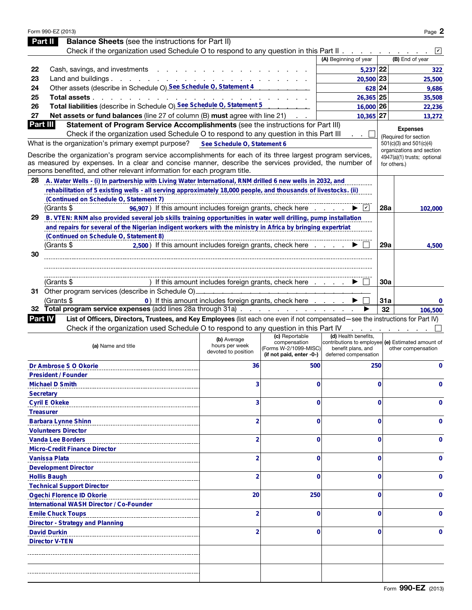|                  | Form 990-EZ (2013)                                                                                                                                                                                                                                                                                |                                                       |                                                                                     |                                                                     |             | Page 2                                                                   |
|------------------|---------------------------------------------------------------------------------------------------------------------------------------------------------------------------------------------------------------------------------------------------------------------------------------------------|-------------------------------------------------------|-------------------------------------------------------------------------------------|---------------------------------------------------------------------|-------------|--------------------------------------------------------------------------|
| Part II          | <b>Balance Sheets</b> (see the instructions for Part II)                                                                                                                                                                                                                                          |                                                       |                                                                                     |                                                                     |             |                                                                          |
|                  | Check if the organization used Schedule O to respond to any question in this Part II                                                                                                                                                                                                              |                                                       |                                                                                     |                                                                     |             | $ \boldsymbol{v} $                                                       |
|                  |                                                                                                                                                                                                                                                                                                   |                                                       |                                                                                     | (A) Beginning of year                                               |             | (B) End of year                                                          |
| 22               | Cash, savings, and investments                                                                                                                                                                                                                                                                    |                                                       |                                                                                     | $5,237$ 22                                                          |             | 322                                                                      |
| 23               | Land and buildings.<br>$\sim$ $\sim$ $\sim$                                                                                                                                                                                                                                                       | and the contract of the                               |                                                                                     | 20,500 23                                                           |             | 25,500                                                                   |
| 24               | Other assets (describe in Schedule O) See Schedule O, Statement 4                                                                                                                                                                                                                                 |                                                       |                                                                                     | 628 24                                                              |             | 9,686                                                                    |
| 25               | Total assets.                                                                                                                                                                                                                                                                                     |                                                       |                                                                                     | $26,365$ 25                                                         |             | 35,508                                                                   |
| 26               | Total liabilities (describe in Schedule O) See Schedule O, Statement 5                                                                                                                                                                                                                            |                                                       |                                                                                     | $16,000$ 26                                                         |             | 22,236                                                                   |
| 27               | Net assets or fund balances (line 27 of column (B) must agree with line 21)                                                                                                                                                                                                                       |                                                       |                                                                                     | $10,365$ 27                                                         |             | 13,272                                                                   |
| Part III         | Statement of Program Service Accomplishments (see the instructions for Part III)                                                                                                                                                                                                                  |                                                       |                                                                                     |                                                                     |             | <b>Expenses</b>                                                          |
|                  | Check if the organization used Schedule O to respond to any question in this Part III                                                                                                                                                                                                             |                                                       |                                                                                     | $\cdot$ $\cdot$ $\bot$                                              |             | (Required for section                                                    |
|                  | What is the organization's primary exempt purpose?                                                                                                                                                                                                                                                | See Schedule O, Statement 6                           |                                                                                     |                                                                     |             | 501(c)(3) and 501(c)(4)                                                  |
|                  | Describe the organization's program service accomplishments for each of its three largest program services,<br>as measured by expenses. In a clear and concise manner, describe the services provided, the number of<br>persons benefited, and other relevant information for each program title. |                                                       |                                                                                     |                                                                     |             | organizations and section<br>4947(a)(1) trusts; optional<br>for others.) |
| 28               | A. Water Wells - (i) In partnership with Living Water International, RNM drilled 6 new wells in 2032, and                                                                                                                                                                                         |                                                       |                                                                                     |                                                                     |             |                                                                          |
|                  | rehabilitation of 5 existing wells - all serving approximately 18,000 people, and thousands of livestocks. (ii)                                                                                                                                                                                   |                                                       |                                                                                     |                                                                     |             |                                                                          |
|                  | (Continued on Schedule O, Statement 7)                                                                                                                                                                                                                                                            |                                                       |                                                                                     |                                                                     |             |                                                                          |
|                  | (Grants \$<br>96,907) If this amount includes foreign grants, check here                                                                                                                                                                                                                          |                                                       |                                                                                     | ▶  レ∣                                                               | 28a         | 102,000                                                                  |
| 29               | B. VTEN: RNM also provided several job skills training opportunities in water well drilling, pump installation                                                                                                                                                                                    |                                                       |                                                                                     |                                                                     |             |                                                                          |
|                  | and repairs for several of the Nigerian indigent workers with the ministry in Africa by bringing expertriat                                                                                                                                                                                       |                                                       |                                                                                     |                                                                     |             |                                                                          |
|                  | (Continued on Schedule O, Statement 8)                                                                                                                                                                                                                                                            |                                                       |                                                                                     |                                                                     |             |                                                                          |
|                  | 2,500) If this amount includes foreign grants, check here<br>(Grants \$                                                                                                                                                                                                                           |                                                       |                                                                                     |                                                                     | <b>29a</b>  | 4,500                                                                    |
| 30               |                                                                                                                                                                                                                                                                                                   |                                                       |                                                                                     |                                                                     |             |                                                                          |
|                  |                                                                                                                                                                                                                                                                                                   |                                                       |                                                                                     |                                                                     |             |                                                                          |
|                  |                                                                                                                                                                                                                                                                                                   |                                                       |                                                                                     |                                                                     |             |                                                                          |
|                  | (Grants \$                                                                                                                                                                                                                                                                                        | ) If this amount includes foreign grants, check here  |                                                                                     |                                                                     | 30a         |                                                                          |
|                  | 31 Other program services (describe in Schedule O)_                                                                                                                                                                                                                                               |                                                       |                                                                                     |                                                                     |             |                                                                          |
|                  | (Grants \$                                                                                                                                                                                                                                                                                        | 0) If this amount includes foreign grants, check here |                                                                                     |                                                                     | <b>31a</b>  | 0                                                                        |
|                  | 32 Total program service expenses (add lines 28a through 31a)                                                                                                                                                                                                                                     |                                                       |                                                                                     |                                                                     |             |                                                                          |
|                  |                                                                                                                                                                                                                                                                                                   |                                                       |                                                                                     |                                                                     | 32          | 106,500                                                                  |
|                  | List of Officers, Directors, Trustees, and Key Employees (list each one even if not compensated—see the instructions for Part IV)<br><b>Part IV</b>                                                                                                                                               |                                                       |                                                                                     |                                                                     |             |                                                                          |
|                  | Check if the organization used Schedule O to respond to any question in this Part IV                                                                                                                                                                                                              |                                                       |                                                                                     |                                                                     |             |                                                                          |
|                  | (a) Name and title                                                                                                                                                                                                                                                                                | (b) Average<br>hours per week<br>devoted to position  | (c) Reportable<br>compensation<br>(Forms W-2/1099-MISC)<br>(if not paid, enter -0-) | (d) Health benefits,<br>benefit plans, and<br>deferred compensation |             | contributions to employee (e) Estimated amount of<br>other compensation  |
|                  | Dr Ambrose S O Okorie                                                                                                                                                                                                                                                                             | 36                                                    | 500                                                                                 | 250                                                                 |             | $\mathbf 0$                                                              |
|                  | <b>President / Founder</b>                                                                                                                                                                                                                                                                        |                                                       |                                                                                     |                                                                     |             |                                                                          |
|                  | <b>Michael D Smith</b>                                                                                                                                                                                                                                                                            | 3                                                     | 0                                                                                   |                                                                     | $\mathbf 0$ | 0                                                                        |
| <b>Secretary</b> |                                                                                                                                                                                                                                                                                                   |                                                       |                                                                                     |                                                                     |             |                                                                          |
|                  | <b>Cyril E Okeke</b>                                                                                                                                                                                                                                                                              | 3                                                     | 0                                                                                   |                                                                     | $\mathbf 0$ | 0                                                                        |
| <b>Treasurer</b> |                                                                                                                                                                                                                                                                                                   |                                                       |                                                                                     |                                                                     |             |                                                                          |
|                  | <b>Barbara Lynne Shinn</b>                                                                                                                                                                                                                                                                        | $\overline{2}$                                        | 0                                                                                   |                                                                     | $\mathbf 0$ | 0                                                                        |
|                  | <b>Volunteers Director</b>                                                                                                                                                                                                                                                                        |                                                       |                                                                                     |                                                                     |             |                                                                          |
|                  | <b>Vanda Lee Borders</b>                                                                                                                                                                                                                                                                          | $\overline{2}$                                        | 0                                                                                   |                                                                     | $\mathbf 0$ | 0                                                                        |
|                  | <b>Micro-Credit Finance Director</b>                                                                                                                                                                                                                                                              |                                                       |                                                                                     |                                                                     |             |                                                                          |
|                  | <b>Vanissa Plata</b>                                                                                                                                                                                                                                                                              | $\overline{2}$                                        | 0                                                                                   |                                                                     | $\mathbf 0$ | 0                                                                        |
|                  | <b>Development Director</b>                                                                                                                                                                                                                                                                       |                                                       |                                                                                     |                                                                     |             |                                                                          |
|                  | <b>Hollis Baugh</b>                                                                                                                                                                                                                                                                               | $\overline{2}$                                        | 0                                                                                   |                                                                     | $\mathbf 0$ | 0                                                                        |
|                  |                                                                                                                                                                                                                                                                                                   |                                                       |                                                                                     |                                                                     |             |                                                                          |
|                  | <b>Technical Support Director</b>                                                                                                                                                                                                                                                                 | 20                                                    | 250                                                                                 |                                                                     | $\mathbf 0$ | 0                                                                        |
|                  | <b>Ogechi Florence ID Okorie</b><br><b>International WASH Director / Co-Founder</b>                                                                                                                                                                                                               |                                                       |                                                                                     |                                                                     |             |                                                                          |
|                  |                                                                                                                                                                                                                                                                                                   | $\overline{2}$                                        | 0                                                                                   |                                                                     | $\mathbf 0$ | 0                                                                        |
|                  | <b>Emile Chuck Toups</b>                                                                                                                                                                                                                                                                          |                                                       |                                                                                     |                                                                     |             |                                                                          |
|                  | <b>Director - Strategy and Planning</b><br><b>David Durkin</b>                                                                                                                                                                                                                                    | $\overline{2}$                                        | 0                                                                                   |                                                                     | $\bf{0}$    | 0                                                                        |
|                  | <b>Director V-TEN</b>                                                                                                                                                                                                                                                                             |                                                       |                                                                                     |                                                                     |             |                                                                          |
|                  |                                                                                                                                                                                                                                                                                                   |                                                       |                                                                                     |                                                                     |             |                                                                          |
|                  |                                                                                                                                                                                                                                                                                                   |                                                       |                                                                                     |                                                                     |             |                                                                          |
|                  |                                                                                                                                                                                                                                                                                                   |                                                       |                                                                                     |                                                                     |             |                                                                          |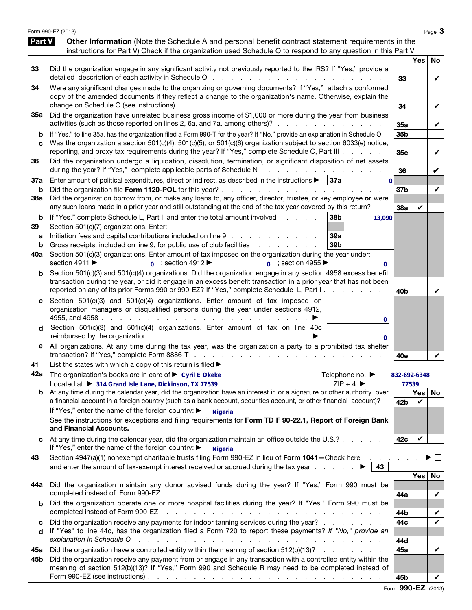|                          | Form 990-EZ (2013)                                                                                                                                                                                                                                                                                                                                                                                                                                                                                                                                                                                                                                                      |                        |     | Page 3   |
|--------------------------|-------------------------------------------------------------------------------------------------------------------------------------------------------------------------------------------------------------------------------------------------------------------------------------------------------------------------------------------------------------------------------------------------------------------------------------------------------------------------------------------------------------------------------------------------------------------------------------------------------------------------------------------------------------------------|------------------------|-----|----------|
| <b>Part V</b>            | Other Information (Note the Schedule A and personal benefit contract statement requirements in the<br>instructions for Part V) Check if the organization used Schedule O to respond to any question in this Part V                                                                                                                                                                                                                                                                                                                                                                                                                                                      |                        |     |          |
| 33                       | Did the organization engage in any significant activity not previously reported to the IRS? If "Yes," provide a                                                                                                                                                                                                                                                                                                                                                                                                                                                                                                                                                         | 33                     | Yes | No<br>V  |
| 34                       | Were any significant changes made to the organizing or governing documents? If "Yes," attach a conformed<br>copy of the amended documents if they reflect a change to the organization's name. Otherwise, explain the<br>change on Schedule O (see instructions)<br>and the contract of the contract of the<br>$\sim$ $\sim$                                                                                                                                                                                                                                                                                                                                            | 34                     |     | V        |
| 35a                      | Did the organization have unrelated business gross income of \$1,000 or more during the year from business<br>activities (such as those reported on lines 2, 6a, and 7a, among others)?                                                                                                                                                                                                                                                                                                                                                                                                                                                                                 | 35a                    |     | V        |
| b<br>C                   | If "Yes," to line 35a, has the organization filed a Form 990-T for the year? If "No," provide an explanation in Schedule O<br>Was the organization a section 501(c)(4), 501(c)(5), or 501(c)(6) organization subject to section 6033(e) notice,<br>reporting, and proxy tax requirements during the year? If "Yes," complete Schedule C, Part III                                                                                                                                                                                                                                                                                                                       | 35b<br>35 <sub>c</sub> |     | V        |
| 36                       | Did the organization undergo a liquidation, dissolution, termination, or significant disposition of net assets<br>during the year? If "Yes," complete applicable parts of Schedule N                                                                                                                                                                                                                                                                                                                                                                                                                                                                                    | 36                     |     | V        |
| 37a<br>b                 | Enter amount of political expenditures, direct or indirect, as described in the instructions $\blacktriangleright$   37a<br>$\mathbf{0}$<br>Did the organization file Form 1120-POL for this year?<br>and a state of the state                                                                                                                                                                                                                                                                                                                                                                                                                                          | 37 <sub>b</sub>        |     | V        |
| 38a                      | Did the organization borrow from, or make any loans to, any officer, director, trustee, or key employee or were<br>any such loans made in a prior year and still outstanding at the end of the tax year covered by this return?                                                                                                                                                                                                                                                                                                                                                                                                                                         | 38a                    | V   |          |
| b<br>39<br>а<br>b<br>40a | If "Yes," complete Schedule L, Part II and enter the total amount involved<br>38 <sub>b</sub><br>13.090<br>Section 501(c)(7) organizations. Enter:<br>Initiation fees and capital contributions included on line 9<br>39a<br>Gross receipts, included on line 9, for public use of club facilities<br>39 <sub>b</sub><br>and a state of the state of the<br>Section 501(c)(3) organizations. Enter amount of tax imposed on the organization during the year under:<br>section 4911 ▶<br>$_0$ ; section 4912<br>$\overline{0}$ ; section 4955<br>0                                                                                                                      |                        |     |          |
| b                        | Section 501(c)(3) and 501(c)(4) organizations. Did the organization engage in any section 4958 excess benefit<br>transaction during the year, or did it engage in an excess benefit transaction in a prior year that has not been<br>reported on any of its prior Forms 990 or 990-EZ? If "Yes," complete Schedule L, Part I.                                                                                                                                                                                                                                                                                                                                           | 40 <sub>b</sub>        |     | v        |
| C<br>d<br>е              | Section $501(c)(3)$ and $501(c)(4)$ organizations. Enter amount of tax imposed on<br>organization managers or disqualified persons during the year under sections 4912,<br>4955, and 4958.<br>$\sim 10^{-1}$<br><b>Contract</b><br>and the contract of the contract of<br>and the company of the company of<br>0<br>Section 501(c)(3) and 501(c)(4) organizations. Enter amount of tax on line 40c<br>reimbursed by the organization<br>the contract of the contract of the contract of the contract of the contract of the contract of the contract of<br>All organizations. At any time during the tax year, was the organization a party to a prohibited tax shelter |                        |     |          |
|                          | List the states with which a copy of this return is filed >                                                                                                                                                                                                                                                                                                                                                                                                                                                                                                                                                                                                             | 40e                    |     |          |
| 41<br>42a                | Telephone no. ▶                                                                                                                                                                                                                                                                                                                                                                                                                                                                                                                                                                                                                                                         | 832-692-6348           |     |          |
|                          | $ZIP + 4$<br>Located at ▶ 314 Grand Isle Lane, Dickinson, TX 77539                                                                                                                                                                                                                                                                                                                                                                                                                                                                                                                                                                                                      | 77539                  |     | Yes   No |
|                          | a financial account in a foreign country (such as a bank account, securities account, or other financial account)?                                                                                                                                                                                                                                                                                                                                                                                                                                                                                                                                                      | 42b                    | V   |          |
|                          | If "Yes," enter the name of the foreign country: ▶<br><b>Nigeria</b><br>See the instructions for exceptions and filing requirements for Form TD F 90-22.1, Report of Foreign Bank<br>and Financial Accounts.                                                                                                                                                                                                                                                                                                                                                                                                                                                            |                        |     |          |
|                          | At any time during the calendar year, did the organization maintain an office outside the U.S.?<br>If "Yes," enter the name of the foreign country: ▶<br><b>Nigeria</b>                                                                                                                                                                                                                                                                                                                                                                                                                                                                                                 | 42c                    | V   |          |
| 43                       | Section 4947(a)(1) nonexempt charitable trusts filing Form 990-EZ in lieu of Form 1041-Check here<br>and enter the amount of tax-exempt interest received or accrued during the tax year $\ldots$<br>43                                                                                                                                                                                                                                                                                                                                                                                                                                                                 |                        |     |          |
| 44а                      | Did the organization maintain any donor advised funds during the year? If "Yes," Form 990 must be<br>completed instead of Form 990-EZ<br>and a series of the contract of the contract of the contract of the contract of the contract of the contract of                                                                                                                                                                                                                                                                                                                                                                                                                |                        | Yes | No       |
| b                        | Did the organization operate one or more hospital facilities during the year? If "Yes," Form 990 must be<br>completed instead of Form 990-EZ<br>and a construction of the construction of the construction of the construction of the construction of the construction of the construction of the construction of the construction of the construction of the construction of                                                                                                                                                                                                                                                                                           | 44a<br>44b             |     | V<br>V   |
| c<br>d                   | Did the organization receive any payments for indoor tanning services during the year?<br>If "Yes" to line 44c, has the organization filed a Form 720 to report these payments? If "No," provide an<br>explanation in Schedule O                                                                                                                                                                                                                                                                                                                                                                                                                                        | 44c<br>44d             |     | V        |
| 45а                      | Did the organization have a controlled entity within the meaning of section 512(b)(13)?                                                                                                                                                                                                                                                                                                                                                                                                                                                                                                                                                                                 | 45a                    |     | V        |
| 45b                      | Did the organization receive any payment from or engage in any transaction with a controlled entity within the<br>meaning of section 512(b)(13)? If "Yes," Form 990 and Schedule R may need to be completed instead of<br>Form 990-EZ (see instructions) $\ldots$ $\ldots$ $\ldots$ $\ldots$ $\ldots$ $\ldots$ $\ldots$ $\ldots$ $\ldots$ $\ldots$ $\ldots$                                                                                                                                                                                                                                                                                                             | 45b                    |     |          |

Form 990-EZ (2013)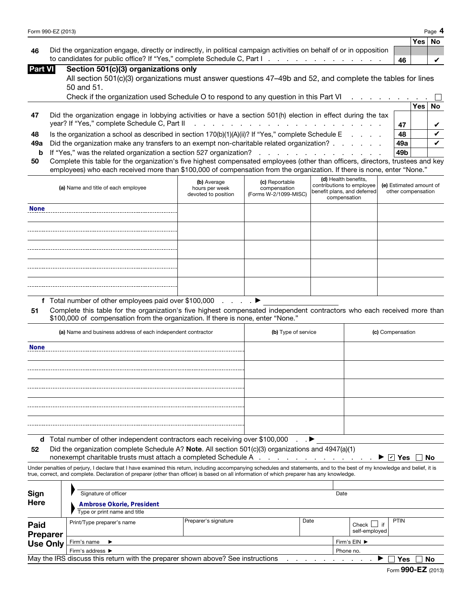| Form 990-EZ (2013) | Page |
|--------------------|------|
|--------------------|------|

|                                                                                                                        |    | ∣Yes ∣No |  |
|------------------------------------------------------------------------------------------------------------------------|----|----------|--|
| 46 Did the organization engage, directly or indirectly, in political campaign activities on behalf of or in opposition |    |          |  |
| to candidates for public office? If "Yes," complete Schedule C, Part I. A. A. A. A. A. A. A. A. A. A.                  | 46 |          |  |

| Part VII |  |  | Section 501(c)(3) organizations only |  |
|----------|--|--|--------------------------------------|--|
|----------|--|--|--------------------------------------|--|

| All section 501(c)(3) organizations must answer questions 47-49b and 52, and complete the tables for lines |  |
|------------------------------------------------------------------------------------------------------------|--|
| 50 and 51.                                                                                                 |  |

|     | Check if the organization used Schedule O to respond to any question in this Part VI                          |     |     |    |
|-----|---------------------------------------------------------------------------------------------------------------|-----|-----|----|
|     |                                                                                                               |     | Yes | No |
| 47  | Did the organization engage in lobbying activities or have a section 501(h) election in effect during the tax |     |     |    |
|     |                                                                                                               |     |     |    |
| 48  | Is the organization a school as described in section $170(b)(1)(A)(ii)$ ? If "Yes," complete Schedule E       | 48  |     |    |
| 49а | Did the organization make any transfers to an exempt non-charitable related organization?                     | 49a |     |    |
|     | <b>b</b> If "Yes," was the related organization a section 527 organization?                                   | 49b |     |    |

| 50 Complete this table for the organization's five highest compensated employees (other than officers, directors, trustees and key |  |  |
|------------------------------------------------------------------------------------------------------------------------------------|--|--|
| employees) who each received more than \$100,000 of compensation from the organization. If there is none, enter "None."            |  |  |

| 48          | Is the organization a school as described in section $170(b)(1)(A)(ii)$ ? If "Yes," complete Schedule E                                                                                                                                                    |                                                                                                                                                                                                                     |  |  |  |                    |                         |  |
|-------------|------------------------------------------------------------------------------------------------------------------------------------------------------------------------------------------------------------------------------------------------------------|---------------------------------------------------------------------------------------------------------------------------------------------------------------------------------------------------------------------|--|--|--|--------------------|-------------------------|--|
| 49a         | Did the organization make any transfers to an exempt non-charitable related organization?                                                                                                                                                                  |                                                                                                                                                                                                                     |  |  |  |                    |                         |  |
| b           | If "Yes," was the related organization a section 527 organization?                                                                                                                                                                                         |                                                                                                                                                                                                                     |  |  |  |                    |                         |  |
| 50          | Complete this table for the organization's five highest compensated employees (other than officers, directors, trustees and key<br>employees) who each received more than \$100,000 of compensation from the organization. If there is none, enter "None." |                                                                                                                                                                                                                     |  |  |  |                    |                         |  |
|             | (a) Name and title of each employee                                                                                                                                                                                                                        | (d) Health benefits,<br>(c) Reportable<br>(b) Average<br>contributions to employee<br>hours per week<br>compensation<br>benefit plans, and deferred<br>(Forms W-2/1099-MISC)<br>devoted to position<br>compensation |  |  |  | other compensation | (e) Estimated amount of |  |
| <b>None</b> |                                                                                                                                                                                                                                                            |                                                                                                                                                                                                                     |  |  |  |                    |                         |  |
|             |                                                                                                                                                                                                                                                            |                                                                                                                                                                                                                     |  |  |  |                    |                         |  |
|             |                                                                                                                                                                                                                                                            |                                                                                                                                                                                                                     |  |  |  |                    |                         |  |
|             |                                                                                                                                                                                                                                                            |                                                                                                                                                                                                                     |  |  |  |                    |                         |  |
|             |                                                                                                                                                                                                                                                            |                                                                                                                                                                                                                     |  |  |  |                    |                         |  |

|             | year? If "Yes," complete Schedule C, Part II                                                                                                                               |                     |                       |                                                          | 47                                            | V  |
|-------------|----------------------------------------------------------------------------------------------------------------------------------------------------------------------------|---------------------|-----------------------|----------------------------------------------------------|-----------------------------------------------|----|
| 48          | Is the organization a school as described in section 170(b)(1)(A)(ii)? If "Yes," complete Schedule E                                                                       |                     |                       |                                                          | 48                                            | ✓  |
| 49а         | Did the organization make any transfers to an exempt non-charitable related organization? .                                                                                |                     |                       |                                                          | 49а                                           | V  |
| b           | If "Yes," was the related organization a section 527 organization?                                                                                                         |                     |                       |                                                          | 49 <sub>b</sub>                               |    |
| 50          | Complete this table for the organization's five highest compensated employees (other than officers, directors, trustees and key                                            |                     |                       |                                                          |                                               |    |
|             | employees) who each received more than \$100,000 of compensation from the organization. If there is none, enter "None."                                                    |                     |                       |                                                          |                                               |    |
|             |                                                                                                                                                                            | (b) Average         | (c) Reportable        | (d) Health benefits,                                     |                                               |    |
|             | (a) Name and title of each employee                                                                                                                                        | hours per week      | compensation          | contributions to employee<br>benefit plans, and deferred | (e) Estimated amount of<br>other compensation |    |
|             |                                                                                                                                                                            | devoted to position | (Forms W-2/1099-MISC) | compensation                                             |                                               |    |
| <b>None</b> |                                                                                                                                                                            |                     |                       |                                                          |                                               |    |
|             |                                                                                                                                                                            |                     |                       |                                                          |                                               |    |
|             |                                                                                                                                                                            |                     |                       |                                                          |                                               |    |
|             |                                                                                                                                                                            |                     |                       |                                                          |                                               |    |
|             |                                                                                                                                                                            |                     |                       |                                                          |                                               |    |
|             |                                                                                                                                                                            |                     |                       |                                                          |                                               |    |
|             |                                                                                                                                                                            |                     |                       |                                                          |                                               |    |
|             |                                                                                                                                                                            |                     |                       |                                                          |                                               |    |
|             |                                                                                                                                                                            |                     |                       |                                                          |                                               |    |
|             |                                                                                                                                                                            |                     |                       |                                                          |                                               |    |
|             |                                                                                                                                                                            |                     |                       |                                                          |                                               |    |
|             | f Total number of other employees paid over \$100,000                                                                                                                      |                     | ▶                     |                                                          |                                               |    |
| 51          | Complete this table for the organization's five highest compensated independent contractors who each received more than                                                    |                     |                       |                                                          |                                               |    |
|             | \$100,000 of compensation from the organization. If there is none, enter "None."                                                                                           |                     |                       |                                                          |                                               |    |
|             | (a) Name and business address of each independent contractor                                                                                                               |                     | (b) Type of service   |                                                          | (c) Compensation                              |    |
|             |                                                                                                                                                                            |                     |                       |                                                          |                                               |    |
| <b>None</b> |                                                                                                                                                                            |                     |                       |                                                          |                                               |    |
|             |                                                                                                                                                                            |                     |                       |                                                          |                                               |    |
|             |                                                                                                                                                                            |                     |                       |                                                          |                                               |    |
|             |                                                                                                                                                                            |                     |                       |                                                          |                                               |    |
|             |                                                                                                                                                                            |                     |                       |                                                          |                                               |    |
|             |                                                                                                                                                                            |                     |                       |                                                          |                                               |    |
|             |                                                                                                                                                                            |                     |                       |                                                          |                                               |    |
|             |                                                                                                                                                                            |                     |                       |                                                          |                                               |    |
|             |                                                                                                                                                                            |                     |                       |                                                          |                                               |    |
|             |                                                                                                                                                                            |                     |                       |                                                          |                                               |    |
|             | <b>d</b> Total number of other independent contractors each receiving over \$100,000 $\blacksquare$                                                                        |                     |                       |                                                          |                                               |    |
| 52          | Did the organization complete Schedule A? Note. All section 501(c)(3) organizations and 4947(a)(1)                                                                         |                     |                       |                                                          |                                               |    |
|             |                                                                                                                                                                            |                     |                       |                                                          | $\blacktriangleright$ $\mid$ v $\mid$ Yes     | No |
|             | Under penalties of perjury, I declare that I have examined this return, including accompanying schedules and statements, and to the best of my knowledge and belief, it is |                     |                       |                                                          |                                               |    |
|             | true, correct, and complete. Declaration of preparer (other than officer) is based on all information of which preparer has any knowledge.                                 |                     |                       |                                                          |                                               |    |
|             |                                                                                                                                                                            |                     |                       |                                                          |                                               |    |
| Sign        | Signature of officer                                                                                                                                                       |                     |                       | Date                                                     |                                               |    |
| Here        | <b>Ambrose Okorie, President</b>                                                                                                                                           |                     |                       |                                                          |                                               |    |

| Sign<br><b>Here</b>                               | Signature of officer<br><b>Ambrose Okorie, President</b>                                                    |  | Date         |  |  |  |  |  |  |  |
|---------------------------------------------------|-------------------------------------------------------------------------------------------------------------|--|--------------|--|--|--|--|--|--|--|
|                                                   | Type or print name and title                                                                                |  |              |  |  |  |  |  |  |  |
| <b>Paid</b><br><b>Preparer</b>                    | Preparer's signature<br><b>PTIN</b><br>Date<br>Print/Type preparer's name<br>if<br>Check L<br>self-employed |  |              |  |  |  |  |  |  |  |
| <b>Use Only</b>                                   | Firm's name $\blacktriangleright$                                                                           |  | Firm's EIN ▶ |  |  |  |  |  |  |  |
| Firm's address $\blacktriangleright$<br>Phone no. |                                                                                                             |  |              |  |  |  |  |  |  |  |
|                                                   | May the IRS discuss this return with the preparer shown above? See instructions<br>No<br>Yes                |  |              |  |  |  |  |  |  |  |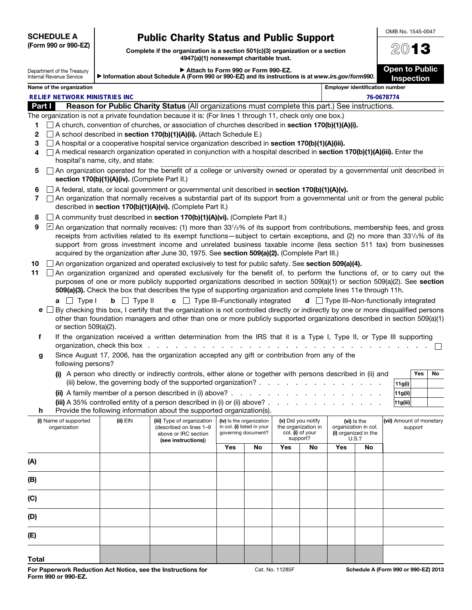SCHEDULE A (Form 990 or 990-EZ)

# Public Charity Status and Public Support

|                                                                                                                  | 11 VIIII 990 UI 990-LLI                                | Complete if the organization is a section $501(c)(3)$ organization or a section                                                                                                                                                                                                                                                                                                                                                                                                             | 2013                                  |                                            |  |  |  |  |
|------------------------------------------------------------------------------------------------------------------|--------------------------------------------------------|---------------------------------------------------------------------------------------------------------------------------------------------------------------------------------------------------------------------------------------------------------------------------------------------------------------------------------------------------------------------------------------------------------------------------------------------------------------------------------------------|---------------------------------------|--------------------------------------------|--|--|--|--|
|                                                                                                                  | Department of the Treasury<br>Internal Revenue Service | Attach to Form 990 or Form 990-EZ.<br>Information about Schedule A (Form 990 or 990-EZ) and its instructions is at www.irs.gov/form990.                                                                                                                                                                                                                                                                                                                                                     |                                       | <b>Open to Public</b><br><b>Inspection</b> |  |  |  |  |
|                                                                                                                  | Name of the organization                               |                                                                                                                                                                                                                                                                                                                                                                                                                                                                                             | <b>Employer identification number</b> |                                            |  |  |  |  |
|                                                                                                                  | <b>RELIFE NETWORK MINISTRIES INC.</b>                  |                                                                                                                                                                                                                                                                                                                                                                                                                                                                                             |                                       | 76-0678774                                 |  |  |  |  |
| Reason for Public Charity Status (All organizations must complete this part.) See instructions.<br><b>Part I</b> |                                                        |                                                                                                                                                                                                                                                                                                                                                                                                                                                                                             |                                       |                                            |  |  |  |  |
|                                                                                                                  |                                                        | The organization is not a private foundation because it is: (For lines 1 through 11, check only one box.)                                                                                                                                                                                                                                                                                                                                                                                   |                                       |                                            |  |  |  |  |
| 1                                                                                                                |                                                        | $\Box$ A church, convention of churches, or association of churches described in section 170(b)(1)(A)(i).                                                                                                                                                                                                                                                                                                                                                                                   |                                       |                                            |  |  |  |  |
| 2                                                                                                                |                                                        | $\Box$ A school described in <b>section 170(b)(1)(A)(ii).</b> (Attach Schedule E.)                                                                                                                                                                                                                                                                                                                                                                                                          |                                       |                                            |  |  |  |  |
| 3                                                                                                                |                                                        | A hospital or a cooperative hospital service organization described in section 170(b)(1)(A)(iii).                                                                                                                                                                                                                                                                                                                                                                                           |                                       |                                            |  |  |  |  |
| 4                                                                                                                |                                                        | A medical research organization operated in conjunction with a hospital described in section 170(b)(1)(A)(iii). Enter the<br>hospital's name, city, and state:                                                                                                                                                                                                                                                                                                                              |                                       |                                            |  |  |  |  |
| 5.                                                                                                               |                                                        | □ An organization operated for the benefit of a college or university owned or operated by a governmental unit described in<br>section 170(b)(1)(A)(iv). (Complete Part II.)                                                                                                                                                                                                                                                                                                                |                                       |                                            |  |  |  |  |
| 6                                                                                                                | $\mathbf{1}$                                           | $\Box$ A federal, state, or local government or governmental unit described in section 170(b)(1)(A)(v).<br>An organization that normally receives a substantial part of its support from a governmental unit or from the general public<br>described in section 170(b)(1)(A)(vi). (Complete Part II.)                                                                                                                                                                                       |                                       |                                            |  |  |  |  |
| 8                                                                                                                |                                                        | $\Box$ A community trust described in <b>section 170(b)(1)(A)(vi).</b> (Complete Part II.)                                                                                                                                                                                                                                                                                                                                                                                                  |                                       |                                            |  |  |  |  |
| 9                                                                                                                |                                                        | An organization that normally receives: (1) more than 331/ <sub>3</sub> % of its support from contributions, membership fees, and gross<br>receipts from activities related to its exempt functions—subject to certain exceptions, and (2) no more than 331/3% of its<br>support from gross investment income and unrelated business taxable income (less section 511 tax) from businesses<br>acquired by the organization after June 30, 1975. See section 509(a)(2). (Complete Part III.) |                                       |                                            |  |  |  |  |

10  $\Box$  An organization organized and operated exclusively to test for public safety. See section 509(a)(4).

11  $\Box$  An organization organized and operated exclusively for the benefit of, to perform the functions of, or to carry out the purposes of one or more publicly supported organizations described in section 509(a)(1) or section 509(a)(2). See section 509(a)(3). Check the box that describes the type of supporting organization and complete lines 11e through 11h.

|  |  |  |  |  | <b>a</b> $\Box$ Type I <b>b</b> $\Box$ Type II <b>c</b> $\Box$ Type III–Functionally integrated <b>d</b> $\Box$ Type III–Non-functionally integrated |
|--|--|--|--|--|------------------------------------------------------------------------------------------------------------------------------------------------------|
|  |  |  |  |  |                                                                                                                                                      |

| $e \Box$ By checking this box, I certify that the organization is not controlled directly or indirectly by one or more disqualified persons |
|---------------------------------------------------------------------------------------------------------------------------------------------|
| other than foundation managers and other than one or more publicly supported organizations described in section 509(a)(1)                   |
| or section $509(a)(2)$ .                                                                                                                    |

- f If the organization received a written determination from the IRS that it is a Type I, Type II, or Type III supporting organization, check this box . . . . . . . . . . . . . . . . . . . . . . . . . . . . . . .
- g Since August 17, 2006, has the organization accepted any gift or contribution from any of the following persons?

| (i) A person who directly or indirectly controls, either alone or together with persons described in (ii) and       |               | Yes i | ' No |
|---------------------------------------------------------------------------------------------------------------------|---------------|-------|------|
| (iii) below, the governing body of the supported organization? $\ldots$ , $\ldots$ , $\ldots$ , $\ldots$ , $\ldots$ | 11g(i)        |       |      |
|                                                                                                                     | 11g(ii)       |       |      |
| $\lim_{x \to 0}$ as $\lim_{x \to 0}$ controlled entity of a person described in (i) or (ii) above?                  | ادتنا و و و ا |       |      |

|                                                                                 |  | (iii) A 35% controlled entity of a person described in (i) or (ii) above? $\ldots$ , $\ldots$ , $\ldots$ , $\ldots$ |  |  |  |  |  |  | 11g(iii) |  |
|---------------------------------------------------------------------------------|--|---------------------------------------------------------------------------------------------------------------------|--|--|--|--|--|--|----------|--|
| <b>h</b> Provide the following information about the supported organization(s). |  |                                                                                                                     |  |  |  |  |  |  |          |  |
|                                                                                 |  |                                                                                                                     |  |  |  |  |  |  |          |  |

| (i) Name of supported<br>organization | $(ii)$ $EIN$ | (iii) Type of organization<br>(described on lines 1-9<br>above or IRC section<br>(see instructions)) | (iv) Is the organization<br>in col. (i) listed in your<br>governing document? |    | (v) Did you notify<br>the organization in<br>col. (i) of your<br>support? |    | (vi) is the<br>organization in col.<br>(i) organized in the<br>U.S.? |    | (vii) Amount of monetary<br>support |
|---------------------------------------|--------------|------------------------------------------------------------------------------------------------------|-------------------------------------------------------------------------------|----|---------------------------------------------------------------------------|----|----------------------------------------------------------------------|----|-------------------------------------|
|                                       |              |                                                                                                      | Yes                                                                           | No | Yes                                                                       | No | Yes                                                                  | No |                                     |
| (A)                                   |              |                                                                                                      |                                                                               |    |                                                                           |    |                                                                      |    |                                     |
| (B)                                   |              |                                                                                                      |                                                                               |    |                                                                           |    |                                                                      |    |                                     |
| (C)                                   |              |                                                                                                      |                                                                               |    |                                                                           |    |                                                                      |    |                                     |
| (D)                                   |              |                                                                                                      |                                                                               |    |                                                                           |    |                                                                      |    |                                     |
| (E)                                   |              |                                                                                                      |                                                                               |    |                                                                           |    |                                                                      |    |                                     |
| <b>Total</b>                          |              |                                                                                                      |                                                                               |    |                                                                           |    |                                                                      |    |                                     |

OMB No. 1545-0047  $\bigcap_{n=1}^{\infty}$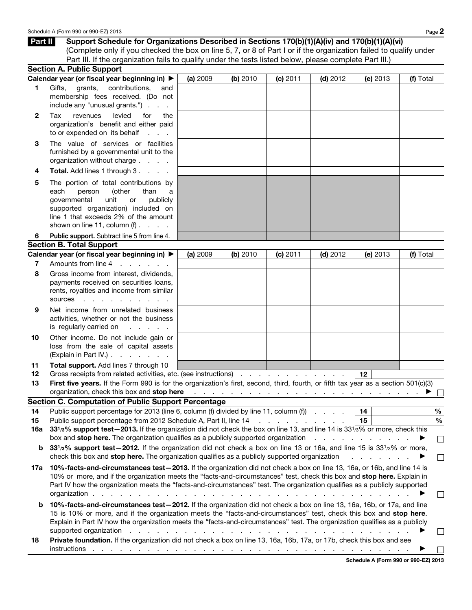| Part II      | Support Schedule for Organizations Described in Sections 170(b)(1)(A)(iv) and 170(b)(1)(A)(vi)                                                                                                                                                                                                                                                                                                                                                                                              |          |          |          |                                                                                                         |          |               |
|--------------|---------------------------------------------------------------------------------------------------------------------------------------------------------------------------------------------------------------------------------------------------------------------------------------------------------------------------------------------------------------------------------------------------------------------------------------------------------------------------------------------|----------|----------|----------|---------------------------------------------------------------------------------------------------------|----------|---------------|
|              | (Complete only if you checked the box on line 5, 7, or 8 of Part I or if the organization failed to qualify under                                                                                                                                                                                                                                                                                                                                                                           |          |          |          |                                                                                                         |          |               |
|              | Part III. If the organization fails to qualify under the tests listed below, please complete Part III.)                                                                                                                                                                                                                                                                                                                                                                                     |          |          |          |                                                                                                         |          |               |
|              | <b>Section A. Public Support</b>                                                                                                                                                                                                                                                                                                                                                                                                                                                            |          |          |          |                                                                                                         |          |               |
|              | Calendar year (or fiscal year beginning in) ▶                                                                                                                                                                                                                                                                                                                                                                                                                                               | (a) 2009 | (b) 2010 | (c) 2011 | $(d)$ 2012                                                                                              | (e) 2013 | (f) Total     |
| 1            | contributions,<br>Gifts,<br>grants,<br>and<br>membership fees received. (Do not<br>include any "unusual grants.")                                                                                                                                                                                                                                                                                                                                                                           |          |          |          |                                                                                                         |          |               |
| $\mathbf{2}$ | revenues<br>levied<br>Tax<br>for<br>the<br>organization's benefit and either paid<br>to or expended on its behalf<br><b>Service</b> State                                                                                                                                                                                                                                                                                                                                                   |          |          |          |                                                                                                         |          |               |
| 3            | The value of services or facilities<br>furnished by a governmental unit to the<br>organization without charge                                                                                                                                                                                                                                                                                                                                                                               |          |          |          |                                                                                                         |          |               |
| 4            | Total. Add lines 1 through 3.                                                                                                                                                                                                                                                                                                                                                                                                                                                               |          |          |          |                                                                                                         |          |               |
| 5            | The portion of total contributions by<br>each<br>(other<br>person<br>than<br>a<br>governmental<br>unit<br>publicly<br>or<br>supported organization) included on<br>line 1 that exceeds 2% of the amount<br>shown on line 11, column $(f)$ .                                                                                                                                                                                                                                                 |          |          |          |                                                                                                         |          |               |
| 6            | Public support. Subtract line 5 from line 4.                                                                                                                                                                                                                                                                                                                                                                                                                                                |          |          |          |                                                                                                         |          |               |
|              | <b>Section B. Total Support</b>                                                                                                                                                                                                                                                                                                                                                                                                                                                             |          |          |          |                                                                                                         |          |               |
|              | Calendar year (or fiscal year beginning in) ▶                                                                                                                                                                                                                                                                                                                                                                                                                                               | (a) 2009 | (b) 2010 | (c) 2011 | $(d)$ 2012                                                                                              | (e) 2013 | (f) Total     |
| 7            | Amounts from line 4<br>$\mathbf{r}$ and $\mathbf{r}$                                                                                                                                                                                                                                                                                                                                                                                                                                        |          |          |          |                                                                                                         |          |               |
| 8            | Gross income from interest, dividends,<br>payments received on securities loans,<br>rents, royalties and income from similar<br>sources<br>and the state of the state of                                                                                                                                                                                                                                                                                                                    |          |          |          |                                                                                                         |          |               |
| 9            | Net income from unrelated business<br>activities, whether or not the business<br>is regularly carried on<br>and a state of                                                                                                                                                                                                                                                                                                                                                                  |          |          |          |                                                                                                         |          |               |
| 10           | Other income. Do not include gain or<br>loss from the sale of capital assets<br>(Explain in Part IV.)                                                                                                                                                                                                                                                                                                                                                                                       |          |          |          |                                                                                                         |          |               |
| 11           | Total support. Add lines 7 through 10                                                                                                                                                                                                                                                                                                                                                                                                                                                       |          |          |          |                                                                                                         |          |               |
| 12           | Gross receipts from related activities, etc. (see instructions)                                                                                                                                                                                                                                                                                                                                                                                                                             |          |          |          |                                                                                                         | $12 \,$  |               |
| 13           | First five years. If the Form 990 is for the organization's first, second, third, fourth, or fifth tax year as a section 501(c)(3)                                                                                                                                                                                                                                                                                                                                                          |          |          |          |                                                                                                         |          |               |
|              | organization, check this box and stop here                                                                                                                                                                                                                                                                                                                                                                                                                                                  |          |          |          | المناطر المناطر المناطر المناطر المناطر المناطر المناطر المناطر المناطر المناطر المناطر المناطر المناطر |          |               |
|              | <b>Section C. Computation of Public Support Percentage</b>                                                                                                                                                                                                                                                                                                                                                                                                                                  |          |          |          |                                                                                                         |          |               |
| 14           | Public support percentage for 2013 (line 6, column (f) divided by line 11, column (f)                                                                                                                                                                                                                                                                                                                                                                                                       |          |          |          |                                                                                                         | 14       | $\%$          |
| 15           | Public support percentage from 2012 Schedule A, Part II, line 14                                                                                                                                                                                                                                                                                                                                                                                                                            |          |          |          |                                                                                                         | 15       | $\frac{0}{0}$ |
| 16a          | 331/3% support test-2013. If the organization did not check the box on line 13, and line 14 is 331/3% or more, check this<br>box and <b>stop here.</b> The organization qualifies as a publicly supported organization enterpresent and stop here.                                                                                                                                                                                                                                          |          |          |          |                                                                                                         |          |               |
| b            | 331/3% support test-2012. If the organization did not check a box on line 13 or 16a, and line 15 is 331/3% or more,<br>check this box and stop here. The organization qualifies as a publicly supported organization                                                                                                                                                                                                                                                                        |          |          |          |                                                                                                         |          |               |
| 17а          | 10%-facts-and-circumstances test-2013. If the organization did not check a box on line 13, 16a, or 16b, and line 14 is<br>10% or more, and if the organization meets the "facts-and-circumstances" test, check this box and stop here. Explain in<br>Part IV how the organization meets the "facts-and-circumstances" test. The organization qualifies as a publicly supported<br>organization $\cdots$                                                                                     |          |          |          |                                                                                                         |          |               |
| b            | 10%-facts-and-circumstances test-2012. If the organization did not check a box on line 13, 16a, 16b, or 17a, and line<br>15 is 10% or more, and if the organization meets the "facts-and-circumstances" test, check this box and stop here.<br>Explain in Part IV how the organization meets the "facts-and-circumstances" test. The organization qualifies as a publicly<br>supported organization enters and a series and a series and a series of the series of the series of the series |          |          |          |                                                                                                         |          |               |
| 18           | Private foundation. If the organization did not check a box on line 13, 16a, 16b, 17a, or 17b, check this box and see                                                                                                                                                                                                                                                                                                                                                                       |          |          |          |                                                                                                         |          |               |

instructions . . . . . . . . . . . . . . . . . . . . . . . . . . . . . . . . . . . ▶  $\overline{\phantom{a}}$ 

Schedule A (Form 990 or 990-EZ) 2013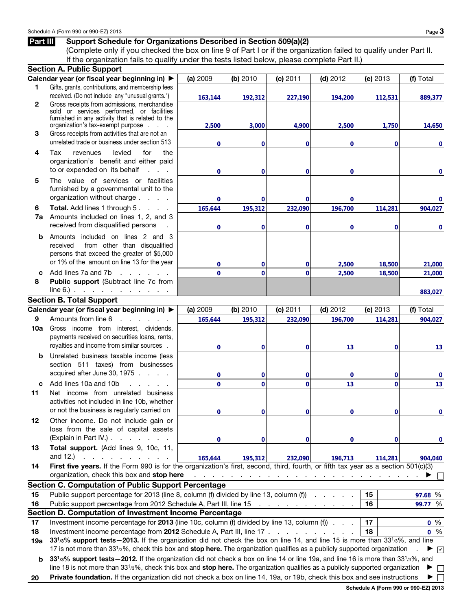## Part III Support Schedule for Organizations Described in Section 509(a)(2)

(Complete only if you checked the box on line 9 of Part I or if the organization failed to qualify under Part II. If the organization fails to qualify under the tests listed below, please complete Part II.)

|              | <b>Section A. Public Support</b>                                                                                                       |                                                                                                                                                                                                                                                                                                        |              |                                                                       |             |              |           |  |  |  |  |  |  |
|--------------|----------------------------------------------------------------------------------------------------------------------------------------|--------------------------------------------------------------------------------------------------------------------------------------------------------------------------------------------------------------------------------------------------------------------------------------------------------|--------------|-----------------------------------------------------------------------|-------------|--------------|-----------|--|--|--|--|--|--|
|              | Calendar year (or fiscal year beginning in) ▶                                                                                          | (a) 2009                                                                                                                                                                                                                                                                                               | (b) 2010     | (c) 2011                                                              | $(d)$ 2012  | (e) 2013     | (f) Total |  |  |  |  |  |  |
| 1            | Gifts, grants, contributions, and membership fees                                                                                      |                                                                                                                                                                                                                                                                                                        |              |                                                                       |             |              |           |  |  |  |  |  |  |
|              | received. (Do not include any "unusual grants.")                                                                                       | 163,144                                                                                                                                                                                                                                                                                                | 192,312      | 227,190                                                               | 194,200     | 112,531      | 889,377   |  |  |  |  |  |  |
| $\mathbf{2}$ | Gross receipts from admissions, merchandise<br>sold or services performed, or facilities                                               |                                                                                                                                                                                                                                                                                                        |              |                                                                       |             |              |           |  |  |  |  |  |  |
|              | furnished in any activity that is related to the                                                                                       |                                                                                                                                                                                                                                                                                                        |              |                                                                       |             |              |           |  |  |  |  |  |  |
|              | organization's tax-exempt purpose                                                                                                      | 2,500                                                                                                                                                                                                                                                                                                  | 3,000        | 4,900                                                                 | 2,500       | 1,750        | 14,650    |  |  |  |  |  |  |
| 3            | Gross receipts from activities that are not an                                                                                         |                                                                                                                                                                                                                                                                                                        |              |                                                                       |             |              |           |  |  |  |  |  |  |
|              | unrelated trade or business under section 513                                                                                          | 0                                                                                                                                                                                                                                                                                                      | 0            | 0                                                                     | $\bf{0}$    | $\bf{0}$     | 0         |  |  |  |  |  |  |
| 4            | Tax<br>levied<br>for<br>the<br>revenues                                                                                                |                                                                                                                                                                                                                                                                                                        |              |                                                                       |             |              |           |  |  |  |  |  |  |
|              | organization's benefit and either paid                                                                                                 |                                                                                                                                                                                                                                                                                                        |              |                                                                       |             |              |           |  |  |  |  |  |  |
|              | to or expended on its behalf<br>$1 - 1 - 1$                                                                                            | 0                                                                                                                                                                                                                                                                                                      | 0            | 0                                                                     | $\mathbf 0$ |              | 0         |  |  |  |  |  |  |
| 5            | The value of services or facilities                                                                                                    |                                                                                                                                                                                                                                                                                                        |              |                                                                       |             |              |           |  |  |  |  |  |  |
|              | furnished by a governmental unit to the                                                                                                |                                                                                                                                                                                                                                                                                                        |              |                                                                       |             |              |           |  |  |  |  |  |  |
|              | organization without charge                                                                                                            | 0                                                                                                                                                                                                                                                                                                      | 0            | 0                                                                     | 0           |              | 0         |  |  |  |  |  |  |
| 6            | <b>Total.</b> Add lines 1 through 5                                                                                                    | 165,644                                                                                                                                                                                                                                                                                                | 195,312      | 232,090                                                               | 196,700     | 114,281      | 904,027   |  |  |  |  |  |  |
| 7a           | Amounts included on lines 1, 2, and 3<br>received from disqualified persons                                                            |                                                                                                                                                                                                                                                                                                        |              |                                                                       |             |              |           |  |  |  |  |  |  |
|              |                                                                                                                                        | 0                                                                                                                                                                                                                                                                                                      | 0            | 0                                                                     | $\bf{0}$    | $\bf{0}$     | 0         |  |  |  |  |  |  |
| b            | Amounts included on lines 2 and 3                                                                                                      |                                                                                                                                                                                                                                                                                                        |              |                                                                       |             |              |           |  |  |  |  |  |  |
|              | from other than disqualified<br>received<br>persons that exceed the greater of \$5,000                                                 |                                                                                                                                                                                                                                                                                                        |              |                                                                       |             |              |           |  |  |  |  |  |  |
|              | or 1% of the amount on line 13 for the year                                                                                            | 0                                                                                                                                                                                                                                                                                                      | 0            | 0                                                                     | 2,500       | 18,500       | 21,000    |  |  |  |  |  |  |
| C.           | Add lines 7a and 7b<br>and a state of the                                                                                              | $\overline{0}$                                                                                                                                                                                                                                                                                         | $\Omega$     | $\mathbf 0$                                                           | 2,500       | 18,500       | 21,000    |  |  |  |  |  |  |
| 8            | Public support (Subtract line 7c from                                                                                                  |                                                                                                                                                                                                                                                                                                        |              |                                                                       |             |              |           |  |  |  |  |  |  |
|              | $line 6$ . $\ldots$ $\ldots$ $\ldots$ $\ldots$                                                                                         |                                                                                                                                                                                                                                                                                                        |              |                                                                       |             |              | 883,027   |  |  |  |  |  |  |
|              | <b>Section B. Total Support</b>                                                                                                        |                                                                                                                                                                                                                                                                                                        |              |                                                                       |             |              |           |  |  |  |  |  |  |
|              | Calendar year (or fiscal year beginning in) ▶                                                                                          | (a) 2009                                                                                                                                                                                                                                                                                               | (b) 2010     | (c) 2011                                                              | $(d)$ 2012  | (e) 2013     | (f) Total |  |  |  |  |  |  |
| 9            | Amounts from line 6<br>and a state of the state of                                                                                     | 165,644                                                                                                                                                                                                                                                                                                | 195,312      | 232,090                                                               | 196,700     | 114,281      | 904,027   |  |  |  |  |  |  |
| 10a          | Gross income from interest, dividends,                                                                                                 |                                                                                                                                                                                                                                                                                                        |              |                                                                       |             |              |           |  |  |  |  |  |  |
|              | payments received on securities loans, rents,                                                                                          |                                                                                                                                                                                                                                                                                                        |              |                                                                       |             |              |           |  |  |  |  |  |  |
|              | royalties and income from similar sources.                                                                                             | 0                                                                                                                                                                                                                                                                                                      | 0            | 0                                                                     | 13          | 0            | 13        |  |  |  |  |  |  |
| b            | Unrelated business taxable income (less                                                                                                |                                                                                                                                                                                                                                                                                                        |              |                                                                       |             |              |           |  |  |  |  |  |  |
|              | section 511 taxes) from businesses                                                                                                     |                                                                                                                                                                                                                                                                                                        |              |                                                                       |             |              |           |  |  |  |  |  |  |
|              | acquired after June 30, 1975                                                                                                           | 0                                                                                                                                                                                                                                                                                                      | 0            | 0                                                                     | $\mathbf 0$ | $\mathbf 0$  | 0         |  |  |  |  |  |  |
| c            | Add lines 10a and 10b<br>.                                                                                                             | $\overline{0}$                                                                                                                                                                                                                                                                                         | $\mathbf{0}$ | $\mathbf 0$                                                           | 13          | $\mathbf{0}$ | 13        |  |  |  |  |  |  |
| 11           | Net income from unrelated business                                                                                                     |                                                                                                                                                                                                                                                                                                        |              |                                                                       |             |              |           |  |  |  |  |  |  |
|              | activities not included in line 10b, whether                                                                                           |                                                                                                                                                                                                                                                                                                        |              |                                                                       |             |              |           |  |  |  |  |  |  |
|              | or not the business is regularly carried on                                                                                            | n                                                                                                                                                                                                                                                                                                      | O            | 0                                                                     | 0           | 0            |           |  |  |  |  |  |  |
| 12           | Other income. Do not include gain or                                                                                                   |                                                                                                                                                                                                                                                                                                        |              |                                                                       |             |              |           |  |  |  |  |  |  |
|              | loss from the sale of capital assets                                                                                                   |                                                                                                                                                                                                                                                                                                        |              |                                                                       |             |              |           |  |  |  |  |  |  |
|              | (Explain in Part IV.).<br>and a state of the state of the                                                                              | 0                                                                                                                                                                                                                                                                                                      | 0            | 0                                                                     | 0           | 0            | 0         |  |  |  |  |  |  |
| 13           | Total support. (Add lines 9, 10c, 11,<br>and $12.$ )<br>and a state of the state                                                       |                                                                                                                                                                                                                                                                                                        |              |                                                                       |             |              |           |  |  |  |  |  |  |
| 14           | First five years. If the Form 990 is for the organization's first, second, third, fourth, or fifth tax year as a section 501(c)(3)     | 165,644                                                                                                                                                                                                                                                                                                | 195,312      | 232,090                                                               | 196,713     | 114,281      | 904,040   |  |  |  |  |  |  |
|              | organization, check this box and stop here                                                                                             |                                                                                                                                                                                                                                                                                                        |              | والمتواطن والمتواطن والمتواطن والمتواطن والمتواطن والمتواطن والمتواطن |             |              |           |  |  |  |  |  |  |
|              | <b>Section C. Computation of Public Support Percentage</b>                                                                             |                                                                                                                                                                                                                                                                                                        |              |                                                                       |             |              |           |  |  |  |  |  |  |
| 15           | Public support percentage for 2013 (line 8, column (f) divided by line 13, column (f)                                                  |                                                                                                                                                                                                                                                                                                        |              |                                                                       |             | 15           | 97.68 %   |  |  |  |  |  |  |
| 16           | Public support percentage from 2012 Schedule A, Part III, line 15                                                                      |                                                                                                                                                                                                                                                                                                        |              | the contract of the contract of the con-                              |             | 16           | 99.77 %   |  |  |  |  |  |  |
|              | Section D. Computation of Investment Income Percentage                                                                                 |                                                                                                                                                                                                                                                                                                        |              |                                                                       |             |              |           |  |  |  |  |  |  |
| 17           | Investment income percentage for 2013 (line 10c, column (f) divided by line 13, column (f)                                             |                                                                                                                                                                                                                                                                                                        |              |                                                                       |             | 17           | $0\%$     |  |  |  |  |  |  |
| 18           | Investment income percentage from 2012 Schedule A, Part III, line 17                                                                   |                                                                                                                                                                                                                                                                                                        |              |                                                                       |             | 18           | $0\%$     |  |  |  |  |  |  |
| 19а          | 331/3% support tests - 2013. If the organization did not check the box on line 14, and line 15 is more than 331/3%, and line           |                                                                                                                                                                                                                                                                                                        |              |                                                                       |             |              |           |  |  |  |  |  |  |
|              | 17 is not more than 33 <sup>1</sup> /3%, check this box and stop here. The organization qualifies as a publicly supported organization |                                                                                                                                                                                                                                                                                                        |              |                                                                       |             |              | ▶ ☑       |  |  |  |  |  |  |
| b            | 331/3% support tests - 2012. If the organization did not check a box on line 14 or line 19a, and line 16 is more than 331/3%, and      |                                                                                                                                                                                                                                                                                                        |              |                                                                       |             |              |           |  |  |  |  |  |  |
|              |                                                                                                                                        |                                                                                                                                                                                                                                                                                                        |              |                                                                       |             |              |           |  |  |  |  |  |  |
|              |                                                                                                                                        | line 18 is not more than $3313%$ , check this box and stop here. The organization qualifies as a publicly supported organization<br>$\Box$<br>▶<br>Private foundation. If the organization did not check a box on line 14, 19a, or 19b, check this box and see instructions<br>▶<br>$\mathbf{L}$<br>20 |              |                                                                       |             |              |           |  |  |  |  |  |  |

Schedule A (Form 990 or 990-EZ) 2013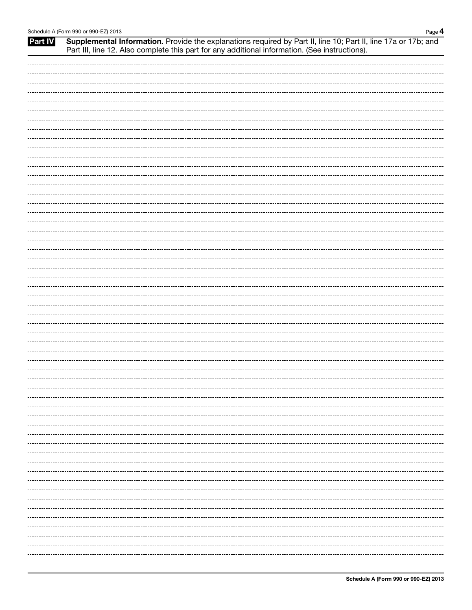## Schedule A (Form 990 or 990-EZ) 2013 Page 4 Part IV Supplemental Information. Provide the explanations required by Part II, line 10; Part II, line 17a or 17b; and Part III, line 12. Also complete this part for any additional information. (See instructions).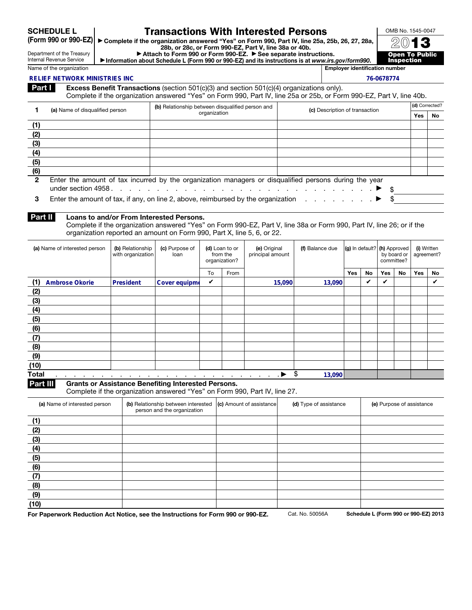SCHEDULE L (Form 990 or 990-EZ)

# Department of the Treasury

## Transactions With Interested Persons

▶ Complete if the organization answered "Yes" on Form 990, Part IV, line 25a, 25b, 26, 27, 28a, 28b, or 28c, or Form 990-EZ, Part V, line 38a or 40b.

OMB No. 1545-0047 2013 'ublic

Internal Revenue Service

▶ Attach to Form 990 or Form 990-EZ. ▶ See separate instructions. ▶ Information about Schedule L (Form 990 or 990-EZ) and its instructions is at *www.irs.gov/form990*.

**Inspe** Name of the organization **Employer identification number**  $\blacksquare$ 

#### **RELIEF NETWORK MINISTRIES INC**

|                                                                                                  | <b>RELIEF NETWORK MINISTRIES INC</b>                                                                             |                  |                                                                                                                    |                                 |          |                                                                                                                                                                                                                                |                 |                                                                                           |            |           | 76-0678774 |    |                           |     |  |
|--------------------------------------------------------------------------------------------------|------------------------------------------------------------------------------------------------------------------|------------------|--------------------------------------------------------------------------------------------------------------------|---------------------------------|----------|--------------------------------------------------------------------------------------------------------------------------------------------------------------------------------------------------------------------------------|-----------------|-------------------------------------------------------------------------------------------|------------|-----------|------------|----|---------------------------|-----|--|
| Part I                                                                                           |                                                                                                                  |                  |                                                                                                                    |                                 |          | <b>Excess Benefit Transactions</b> (section 501 $(c)(3)$ and section 501 $(c)(4)$ organizations only).<br>Complete if the organization answered "Yes" on Form 990, Part IV, line 25a or 25b, or Form 990-EZ, Part V, line 40b. |                 |                                                                                           |            |           |            |    |                           |     |  |
| 1                                                                                                | (a) Name of disqualified person                                                                                  |                  | (b) Relationship between disqualified person and                                                                   |                                 |          |                                                                                                                                                                                                                                |                 | (c) Description of transaction                                                            |            |           |            |    | (d) Corrected?            |     |  |
|                                                                                                  |                                                                                                                  |                  |                                                                                                                    | organization                    |          |                                                                                                                                                                                                                                |                 |                                                                                           |            |           |            |    | Yes                       | No  |  |
| (1)                                                                                              |                                                                                                                  |                  |                                                                                                                    |                                 |          |                                                                                                                                                                                                                                |                 |                                                                                           |            |           |            |    |                           |     |  |
| (2)                                                                                              |                                                                                                                  |                  |                                                                                                                    |                                 |          |                                                                                                                                                                                                                                |                 |                                                                                           |            |           |            |    |                           |     |  |
| (3)                                                                                              |                                                                                                                  |                  |                                                                                                                    |                                 |          |                                                                                                                                                                                                                                |                 |                                                                                           |            |           |            |    |                           |     |  |
| (4)                                                                                              |                                                                                                                  |                  |                                                                                                                    |                                 |          |                                                                                                                                                                                                                                |                 |                                                                                           |            |           |            |    |                           |     |  |
| (5)                                                                                              |                                                                                                                  |                  |                                                                                                                    |                                 |          |                                                                                                                                                                                                                                |                 |                                                                                           |            |           |            |    |                           |     |  |
| (6)                                                                                              |                                                                                                                  |                  |                                                                                                                    |                                 |          |                                                                                                                                                                                                                                |                 |                                                                                           |            |           |            |    |                           |     |  |
| $\mathbf{2}$                                                                                     | Enter the amount of tax incurred by the organization managers or disqualified persons during the year            |                  |                                                                                                                    |                                 |          |                                                                                                                                                                                                                                |                 |                                                                                           |            |           |            |    |                           |     |  |
| 3                                                                                                | Enter the amount of tax, if any, on line 2, above, reimbursed by the organization $\ldots$ , $\ldots$ , $\ldots$ |                  |                                                                                                                    |                                 |          |                                                                                                                                                                                                                                |                 |                                                                                           |            |           |            |    |                           |     |  |
| Part II                                                                                          |                                                                                                                  |                  | Loans to and/or From Interested Persons.<br>organization reported an amount on Form 990, Part X, line 5, 6, or 22. |                                 |          | Complete if the organization answered "Yes" on Form 990-EZ, Part V, line 38a or Form 990, Part IV, line 26; or if the                                                                                                          |                 |                                                                                           |            |           |            |    |                           |     |  |
| (a) Name of interested person<br>(b) Relationship<br>(c) Purpose of<br>with organization<br>loan |                                                                                                                  |                  |                                                                                                                    | (d) Loan to or<br>organization? | from the | (e) Original<br>principal amount                                                                                                                                                                                               | (f) Balance due | $ {\bf (g)}\rangle$ in default? $ {\bf (h)}\rangle$ Approved<br>by board or<br>committee? |            |           |            |    | (i) Written<br>agreement? |     |  |
|                                                                                                  |                                                                                                                  |                  |                                                                                                                    | To                              | From     |                                                                                                                                                                                                                                |                 |                                                                                           | <b>Yes</b> | <b>No</b> | Yes        | No | <b>Yes</b>                | No. |  |
| (1)                                                                                              | <b>Ambrose Okorie</b>                                                                                            | <b>President</b> | Cover equipme                                                                                                      | ✓                               |          | 15,090                                                                                                                                                                                                                         |                 | 13,090                                                                                    |            | V         | V          |    |                           | ✓   |  |

#### Part II Loans to and/or From Interested Persons.

| (a) Name of interested person                        | (b) Relationship<br>with organization | (c) Purpose of<br>loan                     | (d) Loan to or<br>from the<br>organization? |      | (e) Original<br>principal amount | (f) Balance due |     |    | $ {\bf g} $ in default? $ {\bf h} $ Approved<br>by board or<br>committee? |    | (i) Written<br>agreement? |    |
|------------------------------------------------------|---------------------------------------|--------------------------------------------|---------------------------------------------|------|----------------------------------|-----------------|-----|----|---------------------------------------------------------------------------|----|---------------------------|----|
|                                                      |                                       |                                            | To                                          | From |                                  |                 | Yes | No | Yes                                                                       | No | <b>Yes</b>                | No |
| (1)<br><b>Ambrose Okorie</b>                         | President                             | Cover equipme                              | V                                           |      | 15,090                           | 13,090          |     | ✓  | ✓                                                                         |    |                           | V  |
| (2)                                                  |                                       |                                            |                                             |      |                                  |                 |     |    |                                                                           |    |                           |    |
| (3)                                                  |                                       |                                            |                                             |      |                                  |                 |     |    |                                                                           |    |                           |    |
| (4)                                                  |                                       |                                            |                                             |      |                                  |                 |     |    |                                                                           |    |                           |    |
| (5)                                                  |                                       |                                            |                                             |      |                                  |                 |     |    |                                                                           |    |                           |    |
| (6)                                                  |                                       |                                            |                                             |      |                                  |                 |     |    |                                                                           |    |                           |    |
| (7)                                                  |                                       |                                            |                                             |      |                                  |                 |     |    |                                                                           |    |                           |    |
| (8)                                                  |                                       |                                            |                                             |      |                                  |                 |     |    |                                                                           |    |                           |    |
| (9)                                                  |                                       |                                            |                                             |      |                                  |                 |     |    |                                                                           |    |                           |    |
| (10)                                                 |                                       |                                            |                                             |      |                                  |                 |     |    |                                                                           |    |                           |    |
| <b>Total</b><br>.<br>the contract of the contract of | $\cdot$<br>. .                        | <u>t a construção de la construção de </u> |                                             |      |                                  | \$<br>13,090    |     |    |                                                                           |    |                           |    |

Part III Grants or Assistance Benefiting Interested Persons.

Complete if the organization answered "Yes" on Form 990, Part IV, line 27.

| (a) Name of interested person | (b) Relationship between interested<br>person and the organization | $ $ (c) Amount of assistance | (d) Type of assistance | (e) Purpose of assistance |
|-------------------------------|--------------------------------------------------------------------|------------------------------|------------------------|---------------------------|
| (1)                           |                                                                    |                              |                        |                           |
| (2)                           |                                                                    |                              |                        |                           |
| (3)                           |                                                                    |                              |                        |                           |
| (4)                           |                                                                    |                              |                        |                           |
| (5)                           |                                                                    |                              |                        |                           |
| (6)                           |                                                                    |                              |                        |                           |
| (7)                           |                                                                    |                              |                        |                           |
| (8)                           |                                                                    |                              |                        |                           |
| (9)                           |                                                                    |                              |                        |                           |
| (10)                          |                                                                    |                              |                        |                           |

For Paperwork Reduction Act Notice, see the Instructions for Form 990 or 990-EZ. Cat. No. 50056A Schedule L (Form 990 or 990-EZ) 2013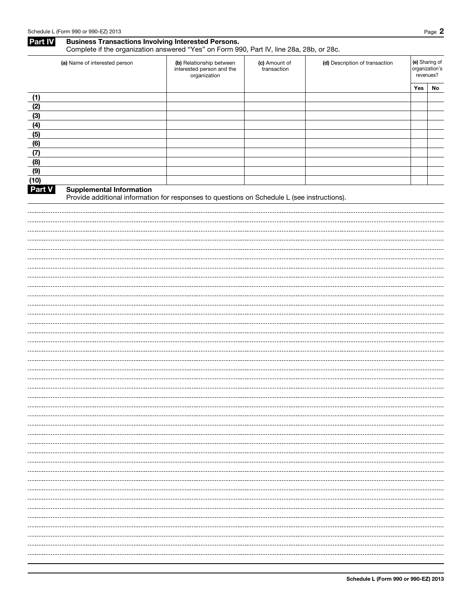## Part IV Business Transactions Involving Interested Persons. Complete if the organization answered "Yes" on Form 990, Part IV, line 28a, 28b, or 28c.

|        | (a) Name of interested person                                                                                                  | (b) Relationship between<br>interested person and the<br>organization | (c) Amount of<br>transaction | (d) Description of transaction | (e) Sharing of<br>organization's<br>revenues? |    |
|--------|--------------------------------------------------------------------------------------------------------------------------------|-----------------------------------------------------------------------|------------------------------|--------------------------------|-----------------------------------------------|----|
|        |                                                                                                                                |                                                                       |                              |                                | Yes                                           | No |
| (1)    |                                                                                                                                |                                                                       |                              |                                |                                               |    |
| (2)    |                                                                                                                                |                                                                       |                              |                                |                                               |    |
| (3)    |                                                                                                                                |                                                                       |                              |                                |                                               |    |
| (4)    |                                                                                                                                |                                                                       |                              |                                |                                               |    |
| (5)    |                                                                                                                                |                                                                       |                              |                                |                                               |    |
| (6)    |                                                                                                                                |                                                                       |                              |                                |                                               |    |
| (7)    |                                                                                                                                |                                                                       |                              |                                |                                               |    |
| (8)    |                                                                                                                                |                                                                       |                              |                                |                                               |    |
| (9)    |                                                                                                                                |                                                                       |                              |                                |                                               |    |
| (10)   |                                                                                                                                |                                                                       |                              |                                |                                               |    |
| Part V | <b>Supplemental Information</b><br>Provide additional information for responses to questions on Schedule L (see instructions). |                                                                       |                              |                                |                                               |    |
|        |                                                                                                                                |                                                                       |                              |                                |                                               |    |
|        |                                                                                                                                |                                                                       |                              |                                |                                               |    |
|        |                                                                                                                                |                                                                       |                              |                                |                                               |    |
|        |                                                                                                                                |                                                                       |                              |                                |                                               |    |
|        |                                                                                                                                |                                                                       |                              |                                |                                               |    |
|        |                                                                                                                                |                                                                       |                              |                                |                                               |    |
|        |                                                                                                                                |                                                                       |                              |                                |                                               |    |
|        |                                                                                                                                |                                                                       |                              |                                |                                               |    |
|        |                                                                                                                                |                                                                       |                              |                                |                                               |    |
|        |                                                                                                                                |                                                                       |                              |                                |                                               |    |
|        |                                                                                                                                |                                                                       |                              |                                |                                               |    |
|        |                                                                                                                                |                                                                       |                              |                                |                                               |    |
|        |                                                                                                                                |                                                                       |                              |                                |                                               |    |
|        |                                                                                                                                |                                                                       |                              |                                |                                               |    |
|        |                                                                                                                                |                                                                       |                              |                                |                                               |    |
|        |                                                                                                                                |                                                                       |                              |                                |                                               |    |
|        |                                                                                                                                |                                                                       |                              |                                |                                               |    |
|        |                                                                                                                                |                                                                       |                              |                                |                                               |    |
|        |                                                                                                                                |                                                                       |                              |                                |                                               |    |
|        |                                                                                                                                |                                                                       |                              |                                |                                               |    |
|        |                                                                                                                                |                                                                       |                              |                                |                                               |    |
|        |                                                                                                                                |                                                                       |                              |                                |                                               |    |
|        |                                                                                                                                |                                                                       |                              |                                |                                               |    |
|        |                                                                                                                                |                                                                       |                              |                                |                                               |    |
|        |                                                                                                                                |                                                                       |                              |                                |                                               |    |
|        |                                                                                                                                |                                                                       |                              |                                |                                               |    |
|        |                                                                                                                                |                                                                       |                              |                                |                                               |    |
|        |                                                                                                                                |                                                                       |                              |                                |                                               |    |
|        |                                                                                                                                |                                                                       |                              |                                |                                               |    |
|        |                                                                                                                                |                                                                       |                              |                                |                                               |    |
|        |                                                                                                                                |                                                                       |                              |                                |                                               |    |
|        |                                                                                                                                |                                                                       |                              |                                |                                               |    |
|        |                                                                                                                                |                                                                       |                              |                                |                                               |    |
|        |                                                                                                                                |                                                                       |                              |                                |                                               |    |
|        |                                                                                                                                |                                                                       |                              |                                |                                               |    |
|        |                                                                                                                                |                                                                       |                              |                                |                                               |    |
|        |                                                                                                                                |                                                                       |                              |                                |                                               |    |
|        |                                                                                                                                |                                                                       |                              |                                |                                               |    |
|        |                                                                                                                                |                                                                       |                              |                                |                                               |    |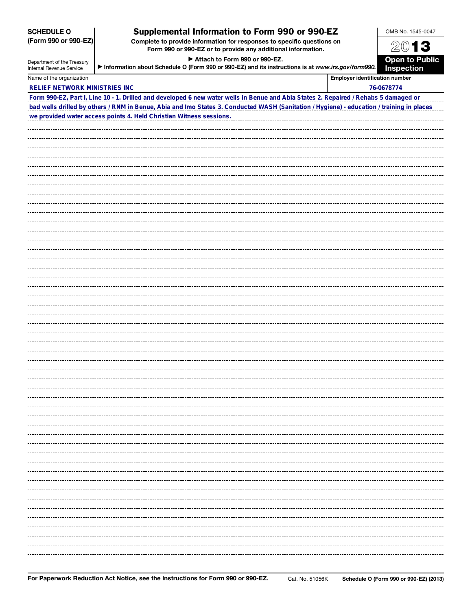|                                                             | Form 990 or 990-EZ or to provide any additional information.                                                                              |  | ZV I J                |  |
|-------------------------------------------------------------|-------------------------------------------------------------------------------------------------------------------------------------------|--|-----------------------|--|
| Attach to Form 990 or 990-EZ.<br>Department of the Treasury |                                                                                                                                           |  | <b>Open to Public</b> |  |
| Internal Revenue Service                                    | Information about Schedule O (Form 990 or 990-EZ) and its instructions is at www.irs.gov/form990.                                         |  |                       |  |
| Name of the organization                                    | <b>Employer identification number</b>                                                                                                     |  | <b>Inspection</b>     |  |
| <b>RELIEF NETWORK MINISTRIES INC</b>                        |                                                                                                                                           |  | 76-0678774            |  |
|                                                             | Form 990-EZ, Part I, Line 10 - 1. Drilled and developed 6 new water wells in Benue and Abia States 2. Repaired / Rehabs 5 damaged or      |  |                       |  |
|                                                             | bad wells drilled by others / RNM in Benue, Abia and Imo States 3. Conducted WASH (Sanitation / Hygiene) - education / training in places |  |                       |  |
|                                                             | we provided water access points 4. Held Christian Witness sessions.                                                                       |  |                       |  |
|                                                             |                                                                                                                                           |  |                       |  |
|                                                             |                                                                                                                                           |  |                       |  |
|                                                             |                                                                                                                                           |  |                       |  |
|                                                             |                                                                                                                                           |  |                       |  |
|                                                             |                                                                                                                                           |  |                       |  |
|                                                             |                                                                                                                                           |  |                       |  |
|                                                             |                                                                                                                                           |  |                       |  |
|                                                             |                                                                                                                                           |  |                       |  |
|                                                             |                                                                                                                                           |  |                       |  |
|                                                             |                                                                                                                                           |  |                       |  |
|                                                             |                                                                                                                                           |  |                       |  |
|                                                             |                                                                                                                                           |  |                       |  |
|                                                             |                                                                                                                                           |  |                       |  |
|                                                             |                                                                                                                                           |  |                       |  |
|                                                             |                                                                                                                                           |  |                       |  |
|                                                             |                                                                                                                                           |  |                       |  |
|                                                             |                                                                                                                                           |  |                       |  |
|                                                             |                                                                                                                                           |  |                       |  |
|                                                             |                                                                                                                                           |  |                       |  |
|                                                             |                                                                                                                                           |  |                       |  |
|                                                             |                                                                                                                                           |  |                       |  |
|                                                             |                                                                                                                                           |  |                       |  |
|                                                             |                                                                                                                                           |  |                       |  |
|                                                             |                                                                                                                                           |  |                       |  |
|                                                             |                                                                                                                                           |  |                       |  |
|                                                             |                                                                                                                                           |  |                       |  |
|                                                             |                                                                                                                                           |  |                       |  |
|                                                             |                                                                                                                                           |  |                       |  |
|                                                             |                                                                                                                                           |  |                       |  |
|                                                             |                                                                                                                                           |  |                       |  |
|                                                             |                                                                                                                                           |  |                       |  |
|                                                             |                                                                                                                                           |  |                       |  |
|                                                             |                                                                                                                                           |  |                       |  |
|                                                             |                                                                                                                                           |  |                       |  |
|                                                             |                                                                                                                                           |  |                       |  |
|                                                             |                                                                                                                                           |  |                       |  |
|                                                             |                                                                                                                                           |  |                       |  |
|                                                             |                                                                                                                                           |  |                       |  |
|                                                             |                                                                                                                                           |  |                       |  |
|                                                             |                                                                                                                                           |  |                       |  |
|                                                             |                                                                                                                                           |  |                       |  |
|                                                             |                                                                                                                                           |  |                       |  |
|                                                             |                                                                                                                                           |  |                       |  |
|                                                             |                                                                                                                                           |  |                       |  |
|                                                             |                                                                                                                                           |  |                       |  |
|                                                             |                                                                                                                                           |  |                       |  |

Supplemental Information to Form 990 or 990-EZ Complete to provide information for responses to specific questions on

SCHEDULE O (Form 990 or 990-EZ) OMB No. 1545-0047  $20$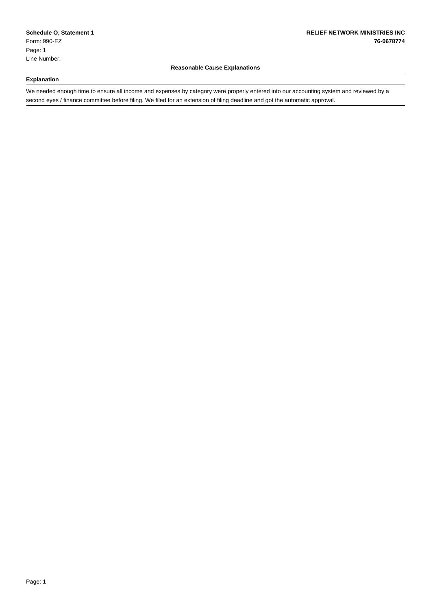### **Reasonable Cause Explanations**

#### **Explanation**

\_

\_

\_

We needed enough time to ensure all income and expenses by category were properly entered into our accounting system and reviewed by a second eyes / finance committee before filing. We filed for an extension of filing deadline and got the automatic approval.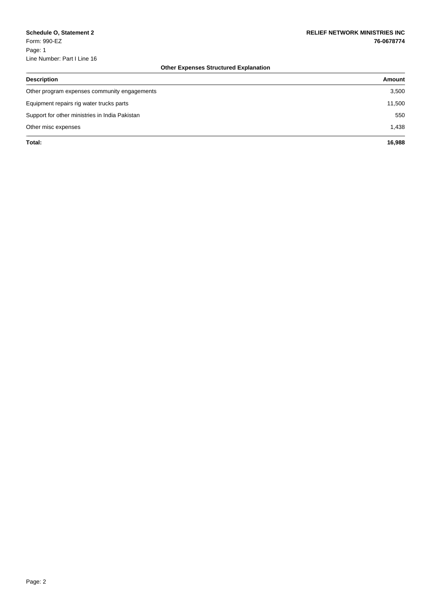## **Other Expenses Structured Explanation**

| <b>Description</b>                             | Amount |
|------------------------------------------------|--------|
| Other program expenses community engagements   | 3,500  |
| Equipment repairs rig water trucks parts       | 11,500 |
| Support for other ministries in India Pakistan | 550    |
| Other misc expenses                            | 1,438  |
| Total:                                         | 16,988 |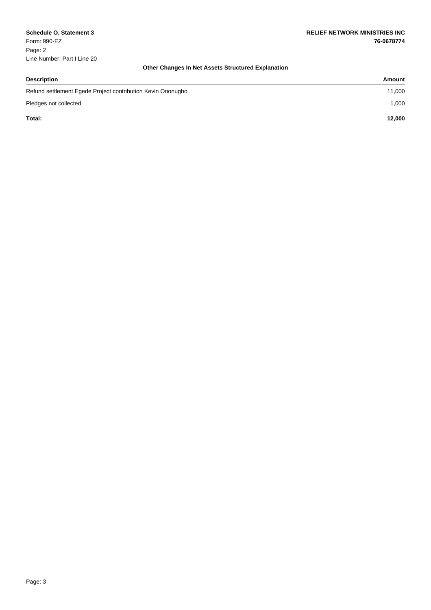## **Other Changes In Net Assets Structured Explanation**

| <b>Description</b>                                          | Amount |
|-------------------------------------------------------------|--------|
| Refund settlement Egede Project contribution Kevin Ononugbo | 11,000 |
| Pledges not collected                                       | 1,000  |
| Total:                                                      | 12.000 |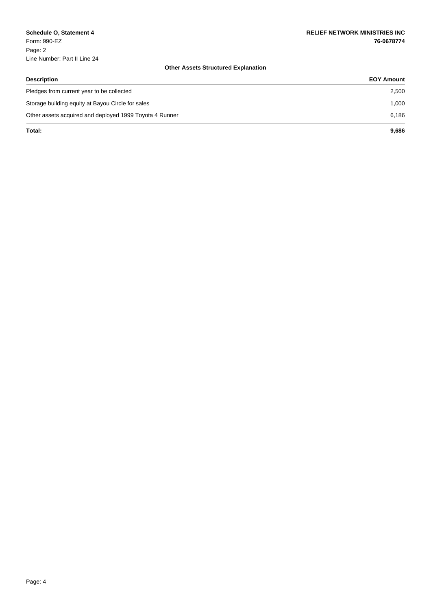\_

## **Other Assets Structured Explanation**

| <b>Description</b>                                      | <b>EOY Amount</b> |
|---------------------------------------------------------|-------------------|
| Pledges from current year to be collected               | 2,500             |
| Storage building equity at Bayou Circle for sales       | 1.000             |
| Other assets acquired and deployed 1999 Toyota 4 Runner | 6.186             |
| Total:                                                  | 9.686             |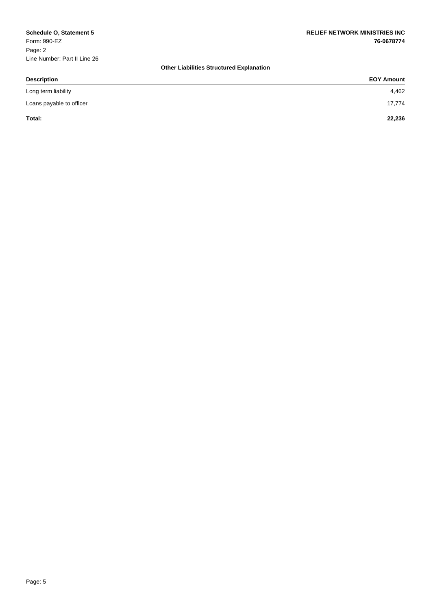## **Other Liabilities Structured Explanation**

| <b>Description</b>       | <b>EOY Amount</b> |
|--------------------------|-------------------|
| Long term liability      | 4,462             |
| Loans payable to officer | 17,774            |
| Total:                   | 22,236            |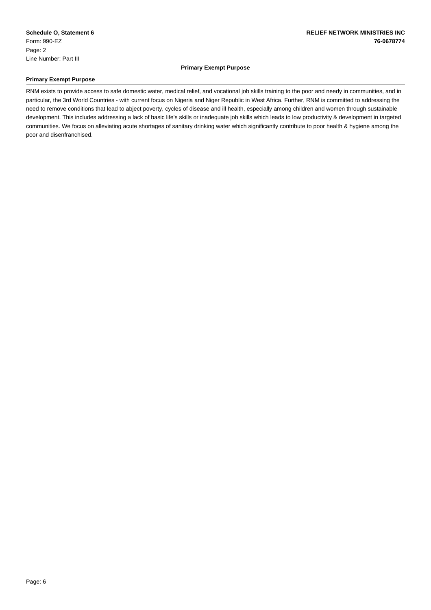#### **Primary Exempt Purpose**

#### **Primary Exempt Purpose**

\_

\_

RNM exists to provide access to safe domestic water, medical relief, and vocational job skills training to the poor and needy in communities, and in particular, the 3rd World Countries - with current focus on Nigeria and Niger Republic in West Africa. Further, RNM is committed to addressing the need to remove conditions that lead to abject poverty, cycles of disease and ill health, especially among children and women through sustainable development. This includes addressing a lack of basic life's skills or inadequate job skills which leads to low productivity & development in targeted communities. We focus on alleviating acute shortages of sanitary drinking water which significantly contribute to poor health & hygiene among the poor and disenfranchised.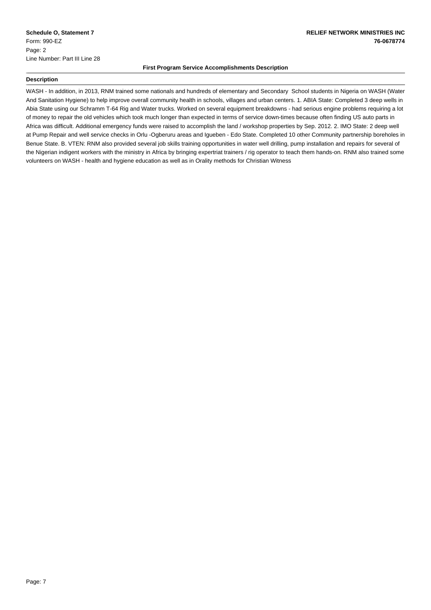#### **First Program Service Accomplishments Description**

#### **Description**

\_

\_

WASH - In addition, in 2013, RNM trained some nationals and hundreds of elementary and Secondary School students in Nigeria on WASH (Water And Sanitation Hygiene) to help improve overall community health in schools, villages and urban centers. 1. ABIA State: Completed 3 deep wells in Abia State using our Schramm T-64 Rig and Water trucks. Worked on several equipment breakdowns - had serious engine problems requiring a lot of money to repair the old vehicles which took much longer than expected in terms of service down-times because often finding US auto parts in Africa was difficult. Additional emergency funds were raised to accomplish the land / workshop properties by Sep. 2012. 2. IMO State: 2 deep well at Pump Repair and well service checks in Orlu -Ogberuru areas and Igueben - Edo State. Completed 10 other Community partnership boreholes in Benue State. B. VTEN: RNM also provided several job skills training opportunities in water well drilling, pump installation and repairs for several of the Nigerian indigent workers with the ministry in Africa by bringing expertriat trainers / rig operator to teach them hands-on. RNM also trained some volunteers on WASH - health and hygiene education as well as in Orality methods for Christian Witness